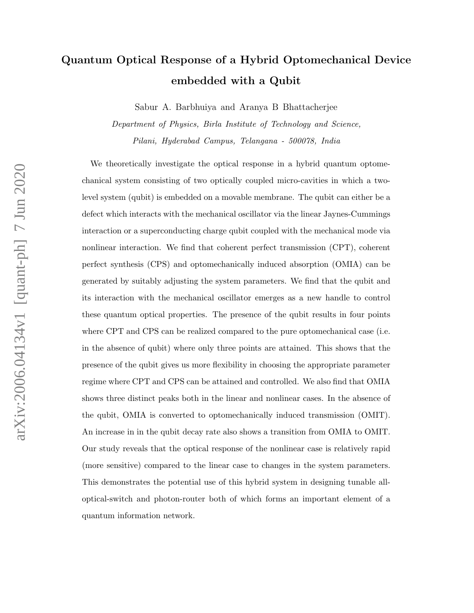# Quantum Optical Response of a Hybrid Optomechanical Device embedded with a Qubit

Sabur A. Barbhuiya and Aranya B Bhattacherjee

Department of Physics, Birla Institute of Technology and Science, Pilani, Hyderabad Campus, Telangana - 500078, India

We theoretically investigate the optical response in a hybrid quantum optomechanical system consisting of two optically coupled micro-cavities in which a twolevel system (qubit) is embedded on a movable membrane. The qubit can either be a defect which interacts with the mechanical oscillator via the linear Jaynes-Cummings interaction or a superconducting charge qubit coupled with the mechanical mode via nonlinear interaction. We find that coherent perfect transmission (CPT), coherent perfect synthesis (CPS) and optomechanically induced absorption (OMIA) can be generated by suitably adjusting the system parameters. We find that the qubit and its interaction with the mechanical oscillator emerges as a new handle to control these quantum optical properties. The presence of the qubit results in four points where CPT and CPS can be realized compared to the pure optomechanical case (i.e. in the absence of qubit) where only three points are attained. This shows that the presence of the qubit gives us more flexibility in choosing the appropriate parameter regime where CPT and CPS can be attained and controlled. We also find that OMIA shows three distinct peaks both in the linear and nonlinear cases. In the absence of the qubit, OMIA is converted to optomechanically induced transmission (OMIT). An increase in in the qubit decay rate also shows a transition from OMIA to OMIT. Our study reveals that the optical response of the nonlinear case is relatively rapid (more sensitive) compared to the linear case to changes in the system parameters. This demonstrates the potential use of this hybrid system in designing tunable alloptical-switch and photon-router both of which forms an important element of a quantum information network.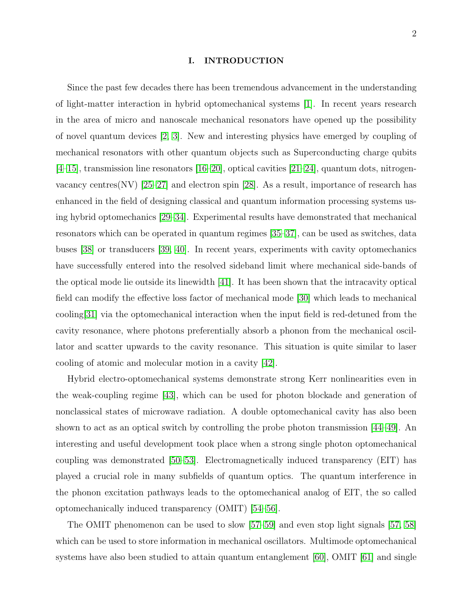#### I. INTRODUCTION

Since the past few decades there has been tremendous advancement in the understanding of light-matter interaction in hybrid optomechanical systems [\[1\]](#page-20-0). In recent years research in the area of micro and nanoscale mechanical resonators have opened up the possibility of novel quantum devices [\[2,](#page-20-1) [3\]](#page-20-2). New and interesting physics have emerged by coupling of mechanical resonators with other quantum objects such as Superconducting charge qubits [\[4](#page-20-3)[–15\]](#page-21-0), transmission line resonators [\[16–](#page-21-1)[20\]](#page-21-2), optical cavities [\[21–](#page-21-3)[24\]](#page-21-4), quantum dots, nitrogenvacancy centres(NV) [\[25–](#page-21-5)[27\]](#page-21-6) and electron spin [\[28\]](#page-21-7). As a result, importance of research has enhanced in the field of designing classical and quantum information processing systems using hybrid optomechanics [\[29](#page-21-8)[–34\]](#page-22-0). Experimental results have demonstrated that mechanical resonators which can be operated in quantum regimes [\[35–](#page-22-1)[37\]](#page-22-2), can be used as switches, data buses [\[38\]](#page-22-3) or transducers [\[39,](#page-22-4) [40\]](#page-22-5). In recent years, experiments with cavity optomechanics have successfully entered into the resolved sideband limit where mechanical side-bands of the optical mode lie outside its linewidth [\[41\]](#page-22-6). It has been shown that the intracavity optical field can modify the effective loss factor of mechanical mode [\[30\]](#page-21-9) which leads to mechanical cooling[\[31\]](#page-22-7) via the optomechanical interaction when the input field is red-detuned from the cavity resonance, where photons preferentially absorb a phonon from the mechanical oscillator and scatter upwards to the cavity resonance. This situation is quite similar to laser cooling of atomic and molecular motion in a cavity [\[42\]](#page-22-8).

Hybrid electro-optomechanical systems demonstrate strong Kerr nonlinearities even in the weak-coupling regime [\[43\]](#page-22-9), which can be used for photon blockade and generation of nonclassical states of microwave radiation. A double optomechanical cavity has also been shown to act as an optical switch by controlling the probe photon transmission [\[44–](#page-22-10)[49\]](#page-22-11). An interesting and useful development took place when a strong single photon optomechanical coupling was demonstrated [\[50–](#page-22-12)[53\]](#page-22-13). Electromagnetically induced transparency (EIT) has played a crucial role in many subfields of quantum optics. The quantum interference in the phonon excitation pathways leads to the optomechanical analog of EIT, the so called optomechanically induced transparency (OMIT) [\[54](#page-23-0)[–56\]](#page-23-1).

The OMIT phenomenon can be used to slow [\[57–](#page-23-2)[59\]](#page-23-3) and even stop light signals [\[57,](#page-23-2) [58\]](#page-23-4) which can be used to store information in mechanical oscillators. Multimode optomechanical systems have also been studied to attain quantum entanglement [\[60\]](#page-23-5), OMIT [\[61\]](#page-23-6) and single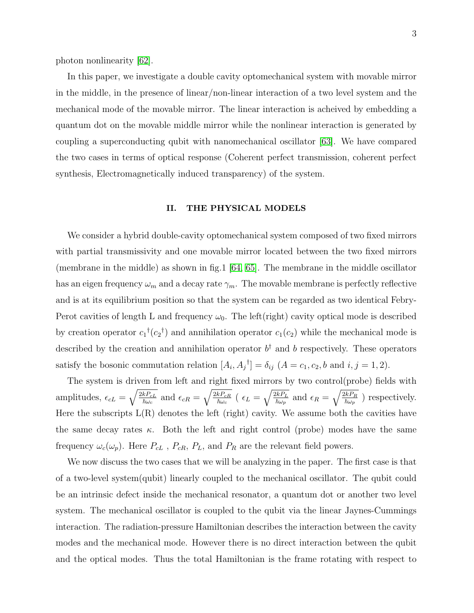photon nonlinearity [\[62\]](#page-23-7).

In this paper, we investigate a double cavity optomechanical system with movable mirror in the middle, in the presence of linear/non-linear interaction of a two level system and the mechanical mode of the movable mirror. The linear interaction is acheived by embedding a quantum dot on the movable middle mirror while the nonlinear interaction is generated by coupling a superconducting qubit with nanomechanical oscillator [\[63\]](#page-23-8). We have compared the two cases in terms of optical response (Coherent perfect transmission, coherent perfect synthesis, Electromagnetically induced transparency) of the system.

### II. THE PHYSICAL MODELS

We consider a hybrid double-cavity optomechanical system composed of two fixed mirrors with partial transmissivity and one movable mirror located between the two fixed mirrors (membrane in the middle) as shown in fig.1 [\[64,](#page-23-9) [65\]](#page-23-10). The membrane in the middle oscillator has an eigen frequency  $\omega_m$  and a decay rate  $\gamma_m$ . The movable membrane is perfectly reflective and is at its equilibrium position so that the system can be regarded as two identical Febry-Perot cavities of length L and frequency  $\omega_0$ . The left(right) cavity optical mode is described by creation operator  $c_1$ <sup>†</sup> $(c_2$ <sup>†</sup>) and annihilation operator  $c_1(c_2)$  while the mechanical mode is described by the creation and annihilation operator  $b^{\dagger}$  and b respectively. These operators satisfy the bosonic commutation relation  $[A_i, A_j^{\dagger}] = \delta_{ij}$   $(A = c_1, c_2, b \text{ and } i, j = 1, 2)$ .

The system is driven from left and right fixed mirrors by two control(probe) fields with amplitudes,  $\epsilon_{cL} = \sqrt{\frac{2kP_{cL}}{\hbar \omega_c}}$  $\frac{kP_{cL}}{\hbar\omega_c}$  and  $\epsilon_{cR} = \sqrt{\frac{2kP_{cR}}{\hbar\omega_c}}$  $\frac{\overline{k}P_{cR}}{\hbar\omega_c}$  (  $\epsilon_L=\sqrt{\frac{2kP_L}{\hbar\omega_p}}$  $\frac{\overline{v_{k}P_{L}}}{\hbar\omega_{p}}$  and  $\epsilon_{R}=\sqrt{\frac{2kP_{R}}{\hbar\omega_{p}}}$  $\frac{m_{R}}{\hbar\omega_{p}}$ ) respectively. Here the subscripts  $L(R)$  denotes the left (right) cavity. We assume both the cavities have the same decay rates  $\kappa$ . Both the left and right control (probe) modes have the same frequency  $\omega_c(\omega_p)$ . Here  $P_{cL}$ ,  $P_{cR}$ ,  $P_L$ , and  $P_R$  are the relevant field powers.

We now discuss the two cases that we will be analyzing in the paper. The first case is that of a two-level system(qubit) linearly coupled to the mechanical oscillator. The qubit could be an intrinsic defect inside the mechanical resonator, a quantum dot or another two level system. The mechanical oscillator is coupled to the qubit via the linear Jaynes-Cummings interaction. The radiation-pressure Hamiltonian describes the interaction between the cavity modes and the mechanical mode. However there is no direct interaction between the qubit and the optical modes. Thus the total Hamiltonian is the frame rotating with respect to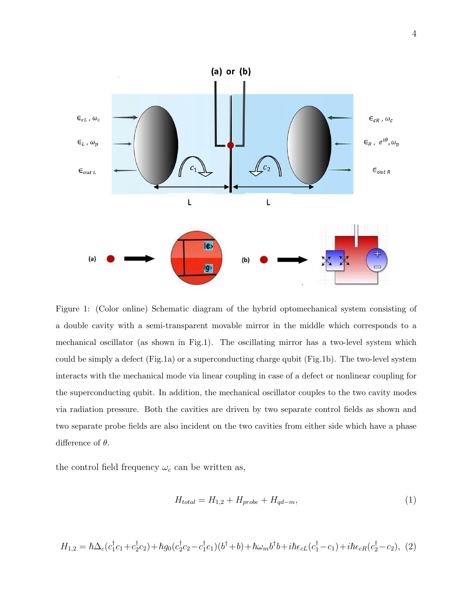

Figure 1: (Color online) Schematic diagram of the hybrid optomechanical system consisting of a double cavity with a semi-transparent movable mirror in the middle which corresponds to a mechanical oscillator (as shown in Fig.1). The oscillating mirror has a two-level system which could be simply a defect (Fig.1a) or a superconducting charge qubit (Fig.1b). The two-level system interacts with the mechanical mode via linear coupling in case of a defect or nonlinear coupling for the superconducting qubit. In addition, the mechanical oscillator couples to the two cavity modes via radiation pressure. Both the cavities are driven by two separate control fields as shown and two separate probe fields are also incident on the two cavities from either side which have a phase difference of  $\theta$ .

the control field frequency  $\omega_c$  can be written as,

$$
H_{total} = H_{1,2} + H_{probe} + H_{qd-m}, \tag{1}
$$

$$
H_{1,2} = \hbar \Delta_c (c_1^{\dagger} c_1 + c_2^{\dagger} c_2) + \hbar g_0 (c_2^{\dagger} c_2 - c_1^{\dagger} c_1)(b^{\dagger} + b) + \hbar \omega_m b^{\dagger} b + i \hbar \epsilon_{cL} (c_1^{\dagger} - c_1) + i \hbar \epsilon_{cR} (c_2^{\dagger} - c_2), (2)
$$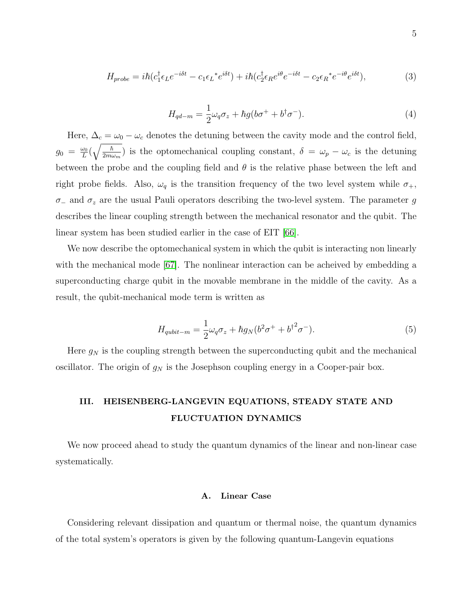$$
H_{probe} = i\hbar (c_1^\dagger \epsilon_L e^{-i\delta t} - c_1 \epsilon_L^* e^{i\delta t}) + i\hbar (c_2^\dagger \epsilon_R e^{i\theta} e^{-i\delta t} - c_2 \epsilon_R^* e^{-i\theta} e^{i\delta t}), \tag{3}
$$

$$
H_{qd-m} = \frac{1}{2}\omega_q \sigma_z + \hbar g(b\sigma^+ + b^\dagger \sigma^-). \tag{4}
$$

Here,  $\Delta_c = \omega_0 - \omega_c$  denotes the detuning between the cavity mode and the control field,  $g_0 = \frac{\omega_0}{L}$  $\frac{\omega_0}{L}\big(\sqrt{\frac{\hbar}{2m\omega}}$  $\frac{\hbar}{2m\omega_m}$ ) is the optomechanical coupling constant,  $\delta = \omega_p - \omega_c$  is the detuning between the probe and the coupling field and  $\theta$  is the relative phase between the left and right probe fields. Also,  $\omega_q$  is the transition frequency of the two level system while  $\sigma_+$ ,  $\sigma_-\$  and  $\sigma_z$  are the usual Pauli operators describing the two-level system. The parameter g describes the linear coupling strength between the mechanical resonator and the qubit. The linear system has been studied earlier in the case of EIT [\[66\]](#page-23-11).

We now describe the optomechanical system in which the qubit is interacting non linearly with the mechanical mode [\[67\]](#page-23-12). The nonlinear interaction can be acheived by embedding a superconducting charge qubit in the movable membrane in the middle of the cavity. As a result, the qubit-mechanical mode term is written as

$$
H_{qubit-m} = \frac{1}{2}\omega_q \sigma_z + \hbar g_N (b^2 \sigma^+ + b^{\dagger 2} \sigma^-). \tag{5}
$$

Here  $g_N$  is the coupling strength between the superconducting qubit and the mechanical oscillator. The origin of  $g_N$  is the Josephson coupling energy in a Cooper-pair box.

# III. HEISENBERG-LANGEVIN EQUATIONS, STEADY STATE AND FLUCTUATION DYNAMICS

We now proceed ahead to study the quantum dynamics of the linear and non-linear case systematically.

# A. Linear Case

Considering relevant dissipation and quantum or thermal noise, the quantum dynamics of the total system's operators is given by the following quantum-Langevin equations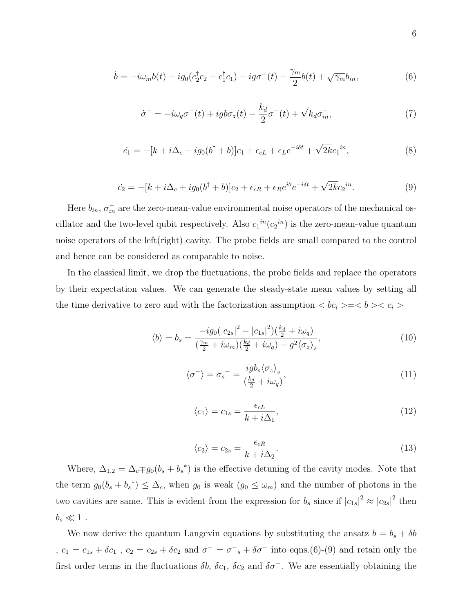$$
\dot{b} = -i\omega_m b(t) - ig_0(c_2^{\dagger} c_2 - c_1^{\dagger} c_1) - ig \sigma^{-}(t) - \frac{\gamma_m}{2} b(t) + \sqrt{\gamma_m} b_{in},\tag{6}
$$

$$
\dot{\sigma}^- = -i\omega_q \sigma^-(t) + igb\sigma_z(t) - \frac{k_d}{2}\sigma^-(t) + \sqrt{k_d} \sigma_{in}^-, \tag{7}
$$

$$
\dot{c}_1 = -[k + i\Delta_c - ig_0(b^\dagger + b)]c_1 + \epsilon_{cL} + \epsilon_L e^{-i\delta t} + \sqrt{2k}c_1^{in},\tag{8}
$$

$$
\dot{c}_2 = -[k + i\Delta_c + ig_0(b^\dagger + b)]c_2 + \epsilon_{cR} + \epsilon_R e^{i\theta} e^{-i\delta t} + \sqrt{2k}c_2{}^{in}.\tag{9}
$$

Here  $b_{in}$ ,  $\sigma_{in}^-$  are the zero-mean-value environmental noise operators of the mechanical oscillator and the two-level qubit respectively. Also  $c_1{}^{in}(c_2{}^{in})$  is the zero-mean-value quantum noise operators of the left(right) cavity. The probe fields are small compared to the control and hence can be considered as comparable to noise.

In the classical limit, we drop the fluctuations, the probe fields and replace the operators by their expectation values. We can generate the steady-state mean values by setting all the time derivative to zero and with the factorization assumption  $\langle bc_i \rangle = \langle b \rangle \langle c_i \rangle$ 

$$
\langle b \rangle = b_s = \frac{-ig_0(|c_{2s}|^2 - |c_{1s}|^2)(\frac{k_d}{2} + i\omega_q)}{(\frac{\gamma_m}{2} + i\omega_m)(\frac{k_d}{2} + i\omega_q) - g^2 \langle \sigma_z \rangle_s},\tag{10}
$$

$$
\langle \sigma^- \rangle = \sigma_s^- = \frac{i g b_s \langle \sigma_z \rangle_s}{\left(\frac{k_d}{2} + i \omega_q\right)},\tag{11}
$$

$$
\langle c_1 \rangle = c_{1s} = \frac{\epsilon_{cL}}{k + i\Delta_1},\tag{12}
$$

$$
\langle c_2 \rangle = c_{2s} = \frac{\epsilon_{cR}}{k + i\Delta_2}.\tag{13}
$$

Where,  $\Delta_{1,2} = \Delta_c \mp g_0 (b_s + b_s^*)$  is the effective detuning of the cavity modes. Note that the term  $g_0(b_s + b_s^*) \leq \Delta_c$ , when  $g_0$  is weak  $(g_0 \leq \omega_m)$  and the number of photons in the two cavities are same. This is evident from the expression for  $b_s$  since if  $|c_{1s}|^2 \approx |c_{2s}|^2$  then  $b_s \ll 1$ .

We now derive the quantum Langevin equations by substituting the ansatz  $b = b_s + \delta b$ ,  $c_1 = c_{1s} + \delta c_1$ ,  $c_2 = c_{2s} + \delta c_2$  and  $\sigma^- = \sigma^-_s + \delta \sigma^-$  into eqns. (6)-(9) and retain only the first order terms in the fluctuations  $\delta b$ ,  $\delta c_1$ ,  $\delta c_2$  and  $\delta \sigma^-$ . We are essentially obtaining the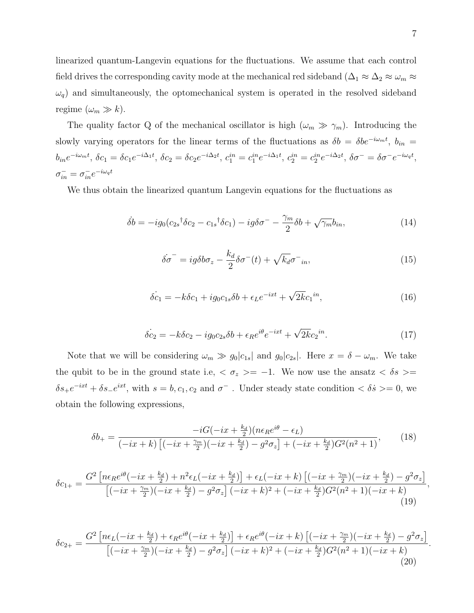linearized quantum-Langevin equations for the fluctuations. We assume that each control field drives the corresponding cavity mode at the mechanical red sideband ( $\Delta_1 \approx \Delta_2 \approx \omega_m \approx$  $\omega_q$ ) and simultaneously, the optomechanical system is operated in the resolved sideband regime  $(\omega_m \gg k)$ .

The quality factor Q of the mechanical oscillator is high  $(\omega_m \gg \gamma_m)$ . Introducing the slowly varying operators for the linear terms of the fluctuations as  $\delta b = \delta b e^{-i\omega_m t}$ ,  $b_{in}$  $b_{in}e^{-i\omega_m t}$ ,  $\delta c_1 = \delta c_1e^{-i\Delta_1 t}$ ,  $\delta c_2 = \delta c_2e^{-i\Delta_2 t}$ ,  $c_1^{in} = c_1^{in}e^{-i\Delta_1 t}$ ,  $c_2^{in} = c_2^{in}e^{-i\Delta_2 t}$ ,  $\delta \sigma^- = \delta \sigma^- e^{-i\omega_q t}$ ,  $\sigma_{in}^- = \sigma_{in}^- e^{-i\omega_q t}$ 

We thus obtain the linearized quantum Langevin equations for the fluctuations as

$$
\dot{\delta b} = -ig_0(c_{2s}{}^{\dagger} \delta c_2 - c_{1s}{}^{\dagger} \delta c_1) - ig \delta \sigma^- - \frac{\gamma_m}{2} \delta b + \sqrt{\gamma_m} b_{in},\tag{14}
$$

$$
\dot{\delta\sigma}^- = ig\delta b\sigma_z - \frac{k_d}{2}\delta\sigma^-(t) + \sqrt{k_d}\sigma^-_{in},\tag{15}
$$

$$
\dot{\delta c_1} = -k \delta c_1 + ig_0 c_{1s} \delta b + \epsilon_L e^{-ixt} + \sqrt{2k} c_1^{in},\tag{16}
$$

$$
\dot{\delta c}_2 = -k \delta c_2 - ig_0 c_{2s} \delta b + \epsilon_R e^{i\theta} e^{-ixt} + \sqrt{2k} c_2^{in}.
$$
\n(17)

Note that we will be considering  $\omega_m \gg g_0|c_{1s}|$  and  $g_0|c_{2s}|$ . Here  $x = \delta - \omega_m$ . We take the qubit to be in the ground state i.e,  $\langle \sigma_z \rangle = -1$ . We now use the ansatz  $\langle \delta s \rangle =$  $\delta s_+e^{-ixt} + \delta s_-e^{ixt}$ , with  $s = b, c_1, c_2$  and  $\sigma^-$ . Under steady state condition  $\langle \delta s \rangle = 0$ , we obtain the following expressions,

$$
\delta b_{+} = \frac{-iG(-ix + \frac{k_d}{2})(n\epsilon_R e^{i\theta} - \epsilon_L)}{(-ix + k)\left[(-ix + \frac{\gamma_m}{2})(-ix + \frac{k_d}{2}) - g^2\sigma_z\right] + (-ix + \frac{k_d}{2})G^2(n^2 + 1)},\tag{18}
$$

$$
\delta c_{1+} = \frac{G^2 \left[ n \epsilon_R e^{i\theta} \left( -ix + \frac{k_d}{2} \right) + n^2 \epsilon_L \left( -ix + \frac{k_d}{2} \right) \right] + \epsilon_L \left( -ix + k \right) \left[ \left( -ix + \frac{\gamma_m}{2} \right) \left( -ix + \frac{k_d}{2} \right) - g^2 \sigma_z \right]}{\left[ \left( -ix + \frac{\gamma_m}{2} \right) \left( -ix + \frac{k_d}{2} \right) - g^2 \sigma_z \right] \left( -ix + k \right)^2 + \left( -ix + \frac{k_d}{2} \right) G^2 (n^2 + 1) \left( -ix + k \right)} \tag{19}
$$

$$
\delta c_{2+} = \frac{G^2 \left[ n\epsilon_L \left( -ix + \frac{k_d}{2} \right) + \epsilon_R e^{i\theta} \left( -ix + \frac{k_d}{2} \right) \right] + \epsilon_R e^{i\theta} \left( -ix + k \right) \left[ \left( -ix + \frac{\gamma_m}{2} \right) \left( -ix + \frac{k_d}{2} \right) - g^2 \sigma_z \right]}{\left[ \left( -ix + \frac{\gamma_m}{2} \right) \left( -ix + \frac{k_d}{2} \right) - g^2 \sigma_z \right] \left( -ix + k \right)^2 + \left( -ix + \frac{k_d}{2} \right) G^2 (n^2 + 1) \left( -ix + k \right)} \tag{20}
$$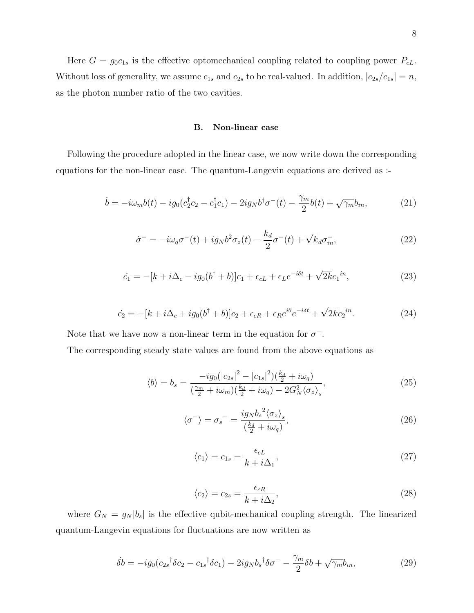Here  $G = g_0 c_{1s}$  is the effective optomechanical coupling related to coupling power  $P_{cL}$ . Without loss of generality, we assume  $c_{1s}$  and  $c_{2s}$  to be real-valued. In addition,  $|c_{2s}/c_{1s}| = n$ , as the photon number ratio of the two cavities.

# B. Non-linear case

Following the procedure adopted in the linear case, we now write down the corresponding equations for the non-linear case. The quantum-Langevin equations are derived as :-

$$
\dot{b} = -i\omega_m b(t) - ig_0(c_2^{\dagger} c_2 - c_1^{\dagger} c_1) - 2ig_N b^{\dagger} \sigma^-(t) - \frac{\gamma_m}{2} b(t) + \sqrt{\gamma_m} b_{in},\tag{21}
$$

$$
\dot{\sigma}^- = -i\omega_q \sigma^-(t) + ig_N b^2 \sigma_z(t) - \frac{k_d}{2} \sigma^-(t) + \sqrt{k_d} \sigma_{in}^-, \tag{22}
$$

$$
\dot{c}_1 = -[k + i\Delta_c - ig_0(b^\dagger + b)]c_1 + \epsilon_{cL} + \epsilon_L e^{-i\delta t} + \sqrt{2k}c_1^{in},\tag{23}
$$

$$
\dot{c}_2 = -[k + i\Delta_c + ig_0(b^\dagger + b)]c_2 + \epsilon_{cR} + \epsilon_R e^{i\theta} e^{-i\delta t} + \sqrt{2k}c_2{}^{in}.
$$
\n(24)

Note that we have now a non-linear term in the equation for  $\sigma^-$ .

The corresponding steady state values are found from the above equations as

$$
\langle b \rangle = b_s = \frac{-ig_0(|c_{2s}|^2 - |c_{1s}|^2)(\frac{k_d}{2} + i\omega_q)}{(\frac{\gamma_m}{2} + i\omega_m)(\frac{k_d}{2} + i\omega_q) - 2G_N^2 \langle \sigma_z \rangle_s},\tag{25}
$$

$$
\langle \sigma^- \rangle = \sigma_s^- = \frac{ig_N b_s^2 \langle \sigma_z \rangle_s}{\left(\frac{k_d}{2} + i\omega_q\right)},\tag{26}
$$

$$
\langle c_1 \rangle = c_{1s} = \frac{\epsilon_{cL}}{k + i\Delta_1},\tag{27}
$$

$$
\langle c_2 \rangle = c_{2s} = \frac{\epsilon_{cR}}{k + i\Delta_2},\tag{28}
$$

where  $G_N = g_N |b_s|$  is the effective qubit-mechanical coupling strength. The linearized quantum-Langevin equations for fluctuations are now written as

$$
\dot{\delta b} = -ig_0(c_{2s}{}^{\dagger}\delta c_2 - c_{1s}{}^{\dagger}\delta c_1) - 2ig_Nb_s{}^{\dagger}\delta\sigma^- - \frac{\gamma_m}{2}\delta b + \sqrt{\gamma_m}b_{in},\tag{29}
$$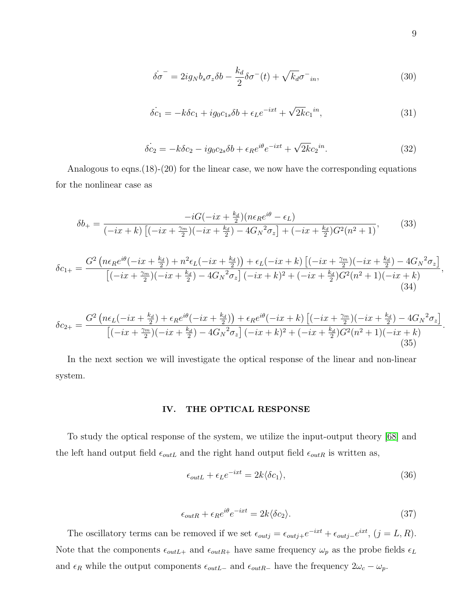$$
\dot{\delta\sigma}^- = 2ig_N b_s \sigma_z \delta b - \frac{k_d}{2} \delta \sigma^-(t) + \sqrt{k_d} \sigma^-_{in},\tag{30}
$$

$$
\dot{\delta c_1} = -k \delta c_1 + ig_0 c_{1s} \delta b + \epsilon_L e^{-ixt} + \sqrt{2k} c_1^{in},\tag{31}
$$

$$
\dot{\delta c_2} = -k \delta c_2 - ig_0 c_{2s} \delta b + \epsilon_R e^{i\theta} e^{-ixt} + \sqrt{2k} c_2^{in}.
$$
\n(32)

Analogous to eqns.(18)-(20) for the linear case, we now have the corresponding equations for the nonlinear case as

$$
\delta b_{+} = \frac{-iG(-ix + \frac{k_d}{2})(n\epsilon_R e^{i\theta} - \epsilon_L)}{(-ix + k)\left[(-ix + \frac{\gamma_m}{2})(-ix + \frac{k_d}{2}) - 4G_N{}^2 \sigma_z\right] + (-ix + \frac{k_d}{2})G^2(n^2 + 1)},\tag{33}
$$

$$
\delta c_{1+} = \frac{G^2 \left( n \epsilon_R e^{i\theta} \left( -ix + \frac{k_d}{2} \right) + n^2 \epsilon_L \left( -ix + \frac{k_d}{2} \right) \right) + \epsilon_L \left( -ix + k \right) \left[ \left( -ix + \frac{\gamma_m}{2} \right) \left( -ix + \frac{k_d}{2} \right) - 4G_N{}^2 \sigma_z \right]}{\left[ \left( -ix + \frac{\gamma_m}{2} \right) \left( -ix + \frac{k_d}{2} \right) - 4G_N{}^2 \sigma_z \right] \left( -ix + k \right)^2 + \left( -ix + \frac{k_d}{2} \right) G^2 (n^2 + 1) \left( -ix + k \right)} \tag{34}
$$

$$
\delta c_{2+} = \frac{G^2 \left( n\epsilon_L(-ix + \frac{k_d}{2}) + \epsilon_R e^{i\theta}(-ix + \frac{k_d}{2}) \right) + \epsilon_R e^{i\theta}(-ix + k) \left[ (-ix + \frac{\gamma_m}{2}) (-ix + \frac{k_d}{2}) - 4G_N{}^2 \sigma_z \right]}{\left[ (-ix + \frac{\gamma_m}{2}) (-ix + \frac{k_d}{2}) - 4G_N{}^2 \sigma_z \right] (-ix + k)^2 + (-ix + \frac{k_d}{2})G^2(n^2 + 1)(-ix + k)}
$$
(35)

In the next section we will investigate the optical response of the linear and non-linear system.

# IV. THE OPTICAL RESPONSE

To study the optical response of the system, we utilize the input-output theory [\[68\]](#page-23-13) and the left hand output field  $\epsilon_{outL}$  and the right hand output field  $\epsilon_{outR}$  is written as,

$$
\epsilon_{outL} + \epsilon_L e^{-ixt} = 2k \langle \delta c_1 \rangle,\tag{36}
$$

$$
\epsilon_{outR} + \epsilon_R e^{i\theta} e^{-ixt} = 2k \langle \delta c_2 \rangle.
$$
\n(37)

The oscillatory terms can be removed if we set  $\epsilon_{outj} = \epsilon_{outj} + e^{-ixt} + \epsilon_{outj} - e^{ixt}$ ,  $(j = L, R)$ . Note that the components  $\epsilon_{outL+}$  and  $\epsilon_{outR+}$  have same frequency  $\omega_p$  as the probe fields  $\epsilon_L$ and  $\epsilon_R$  while the output components  $\epsilon_{outL-}$  and  $\epsilon_{outR-}$  have the frequency  $2\omega_c - \omega_p$ .

.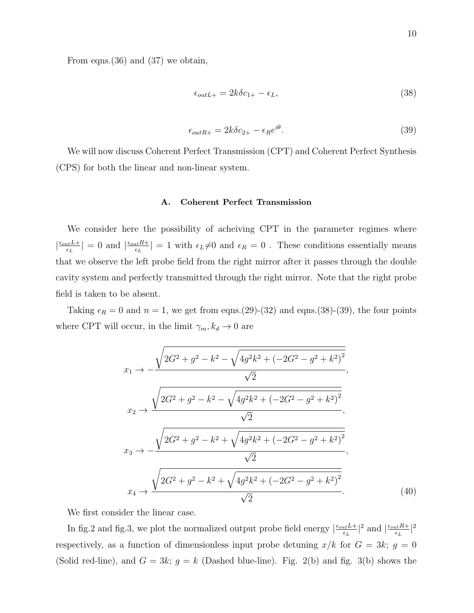$$
\epsilon_{outL+} = 2k\delta c_{1+} - \epsilon_L,\tag{38}
$$

$$
\epsilon_{outR+} = 2k\delta c_{2+} - \epsilon_R e^{i\theta}.\tag{39}
$$

We will now discuss Coherent Perfect Transmission (CPT) and Coherent Perfect Synthesis (CPS) for both the linear and non-linear system.

#### A. Coherent Perfect Transmission

We consider here the possibility of acheiving CPT in the parameter regimes where  $\frac{\epsilon_{out}L+}{\epsilon_I}$  $\frac{L_{tt}L+}{\epsilon_L}|=0$  and  $\left|\frac{\epsilon_{out}R+}{\epsilon_L}\right|$  $|\epsilon_L \epsilon_L| = 1$  with  $\epsilon_L \neq 0$  and  $\epsilon_R = 0$ . These conditions essentially means that we observe the left probe field from the right mirror after it passes through the double cavity system and perfectly transmitted through the right mirror. Note that the right probe field is taken to be absent.

Taking  $\epsilon_R = 0$  and  $n = 1$ , we get from eqns.(29)-(32) and eqns.(38)-(39), the four points where CPT will occur, in the limit  $\gamma_m, k_d \to 0$  are

$$
x_1 \rightarrow -\frac{\sqrt{2G^2 + g^2 - k^2 - \sqrt{4g^2k^2 + (-2G^2 - g^2 + k^2)^2}}{\sqrt{2}}}{\sqrt{2}},
$$
  
\n
$$
x_2 \rightarrow \frac{\sqrt{2G^2 + g^2 - k^2 - \sqrt{4g^2k^2 + (-2G^2 - g^2 + k^2)^2}}}{\sqrt{2}},
$$
  
\n
$$
x_3 \rightarrow -\frac{\sqrt{2G^2 + g^2 - k^2 + \sqrt{4g^2k^2 + (-2G^2 - g^2 + k^2)^2}}}{\sqrt{2}},
$$
  
\n
$$
x_4 \rightarrow \frac{\sqrt{2G^2 + g^2 - k^2 + \sqrt{4g^2k^2 + (-2G^2 - g^2 + k^2)^2}}}{\sqrt{2}}.
$$
  
\n(40)

We first consider the linear case.

In fig.2 and fig.3, we plot the normalized output probe field energy  $\frac{\epsilon_{out}L}{\epsilon_{tot}}$  $\frac{L_{tt}L+}{\epsilon_L}|^2$  and  $\frac{|\epsilon_{out}R+}{\epsilon_L}|$  $\frac{1}{\epsilon_L}$   $|^2$ respectively, as a function of dimensionless input probe detuning  $x/k$  for  $G = 3k$ ;  $g = 0$ (Solid red-line), and  $G = 3k$ ;  $g = k$  (Dashed blue-line). Fig. 2(b) and fig. 3(b) shows the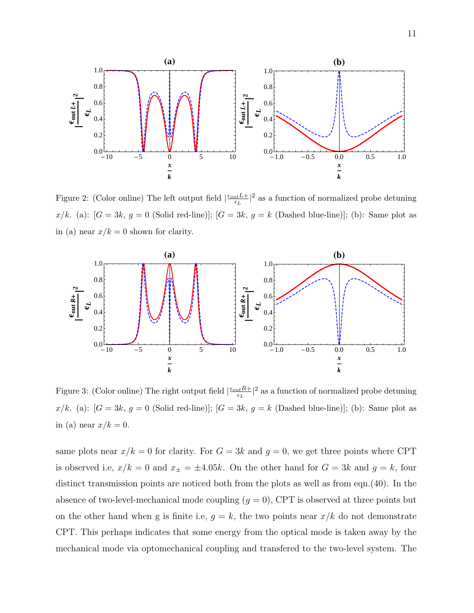

Figure 2: (Color online) The left output field  $\frac{\epsilon_{out}L+}{\epsilon_{tot}}$  $\frac{u_t L + 1}{\epsilon_L}$ <sup>2</sup> as a function of normalized probe detuning x/k. (a):  $[G = 3k, g = 0 \text{ (Solid red-line)}]; [G = 3k, g = k \text{ (Dashed blue-line)}];$  (b): Same plot as in (a) near  $x/k = 0$  shown for clarity.



Figure 3: (Color online) The right output field  $\frac{\epsilon_{out}R+}{\epsilon_{tot}}$  $\frac{L_t R + 1}{\epsilon_L}$ <sup>2</sup> as a function of normalized probe detuning  $x/k$ . (a): [ $G = 3k$ ,  $g = 0$  (Solid red-line)]; [ $G = 3k$ ,  $g = k$  (Dashed blue-line)]; (b): Same plot as in (a) near  $x/k = 0$ .

same plots near  $x/k = 0$  for clarity. For  $G = 3k$  and  $g = 0$ , we get three points where CPT is observed i.e,  $x/k = 0$  and  $x_{\pm} = \pm 4.05k$ . On the other hand for  $G = 3k$  and  $g = k$ , four distinct transmission points are noticed both from the plots as well as from eqn.(40). In the absence of two-level-mechanical mode coupling  $(g = 0)$ , CPT is observed at three points but on the other hand when g is finite i.e,  $g = k$ , the two points near  $x/k$  do not demonstrate CPT. This perhaps indicates that some energy from the optical mode is taken away by the mechanical mode via optomechanical coupling and transfered to the two-level system. The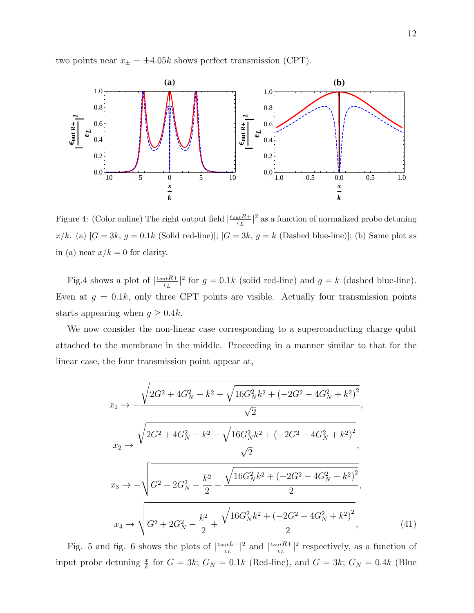two points near  $x_{\pm} = \pm 4.05k$  shows perfect transmission (CPT).



Figure 4: (Color online) The right output field  $\frac{\epsilon_{out}R+}{\epsilon_{tot}}$  $\frac{dL}{\epsilon_L}$ <sup>2</sup> as a function of normalized probe detuning  $x/k$ . (a) [ $G = 3k$ ,  $g = 0.1k$  (Solid red-line)]; [ $G = 3k$ ,  $g = k$  (Dashed blue-line)]; (b) Same plot as in (a) near  $x/k = 0$  for clarity.

Fig.4 shows a plot of  $\left| \frac{\epsilon_{out} R +}{\epsilon_{in}} \right|$  $\frac{dE}{\epsilon_L}$ <sup>2</sup> for  $g = 0.1k$  (solid red-line) and  $g = k$  (dashed blue-line). Even at  $g = 0.1k$ , only three CPT points are visible. Actually four transmission points starts appearing when  $g \geq 0.4k$ .

We now consider the non-linear case corresponding to a superconducting charge qubit attached to the membrane in the middle. Proceeding in a manner similar to that for the linear case, the four transmission point appear at,

$$
x_{1} \rightarrow -\frac{\sqrt{2G^{2} + 4G_{N}^{2} - k^{2} - \sqrt{16G_{N}^{2}k^{2} + (-2G^{2} - 4G_{N}^{2} + k^{2})^{2}}}}{\sqrt{2}},
$$
  
\n
$$
x_{2} \rightarrow \frac{\sqrt{2G^{2} + 4G_{N}^{2} - k^{2} - \sqrt{16G_{N}^{2}k^{2} + (-2G^{2} - 4G_{N}^{2} + k^{2})^{2}}}}{\sqrt{2}},
$$
  
\n
$$
x_{3} \rightarrow -\sqrt{G^{2} + 2G_{N}^{2} - \frac{k^{2}}{2} + \frac{\sqrt{16G_{N}^{2}k^{2} + (-2G^{2} - 4G_{N}^{2} + k^{2})^{2}}}{2}},
$$
  
\n
$$
x_{4} \rightarrow \sqrt{G^{2} + 2G_{N}^{2} - \frac{k^{2}}{2} + \frac{\sqrt{16G_{N}^{2}k^{2} + (-2G^{2} - 4G_{N}^{2} + k^{2})^{2}}}{2}},
$$
  
\n(41)

Fig. 5 and fig. 6 shows the plots of  $\frac{\epsilon_{out}L_{+}}{\epsilon_{in}}$  $\frac{L_{\text{t}}L+}{\epsilon_L}|^2$  and  $\frac{\epsilon_{\text{out}}R+}{\epsilon_L}$  $\frac{u_t R + 1}{\epsilon_L}$ <sup>2</sup> respectively, as a function of input probe detuning  $\frac{x}{k}$  for  $G = 3k$ ;  $G_N = 0.1k$  (Red-line), and  $G = 3k$ ;  $G_N = 0.4k$  (Blue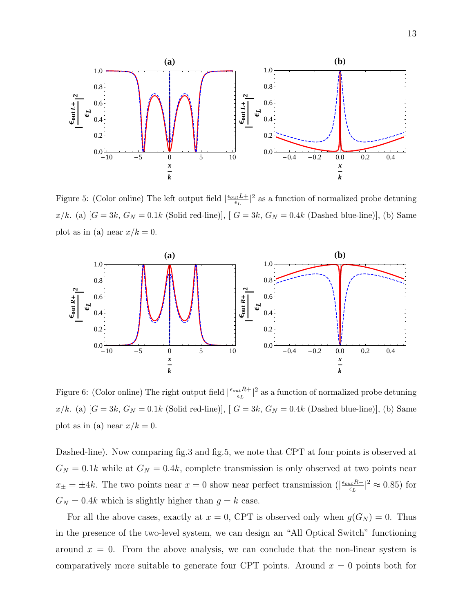

Figure 5: (Color online) The left output field  $\frac{\epsilon_{out}L+}{\epsilon_{tot}}$  $\frac{uLL}{\epsilon_L}|^2$  as a function of normalized probe detuning  $x/k$ . (a) [ $G = 3k$ ,  $G_N = 0.1k$  (Solid red-line)], [ $G = 3k$ ,  $G_N = 0.4k$  (Dashed blue-line)], (b) Same plot as in (a) near  $x/k = 0$ .



Figure 6: (Color online) The right output field  $\frac{\epsilon_{out}R+}{\epsilon_{tot}}$  $\frac{L_t R + 1}{\epsilon_L}$ <sup>2</sup> as a function of normalized probe detuning  $x/k$ . (a) [ $G = 3k$ ,  $G_N = 0.1k$  (Solid red-line)], [ $G = 3k$ ,  $G_N = 0.4k$  (Dashed blue-line)], (b) Same plot as in (a) near  $x/k = 0$ .

Dashed-line). Now comparing fig.3 and fig.5, we note that CPT at four points is observed at  $G_N = 0.1k$  while at  $G_N = 0.4k$ , complete transmission is only observed at two points near  $x_{\pm} = \pm 4k$ . The two points near  $x = 0$  show near perfect transmission ( $\left| \frac{\epsilon_{out} R_{\pm}}{\epsilon_{in}} \right|$  $\frac{L_t R + 2}{\epsilon_L}$   $\approx 0.85$ ) for  $G_N = 0.4k$  which is slightly higher than  $g = k$  case.

For all the above cases, exactly at  $x = 0$ , CPT is observed only when  $g(G_N) = 0$ . Thus in the presence of the two-level system, we can design an "All Optical Switch" functioning around  $x = 0$ . From the above analysis, we can conclude that the non-linear system is comparatively more suitable to generate four CPT points. Around  $x = 0$  points both for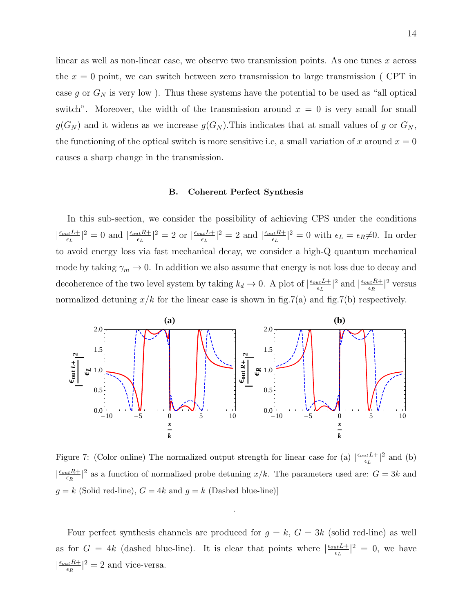linear as well as non-linear case, we observe two transmission points. As one tunes x across the  $x = 0$  point, we can switch between zero transmission to large transmission (CPT in case g or  $G_N$  is very low). Thus these systems have the potential to be used as "all optical switch". Moreover, the width of the transmission around  $x = 0$  is very small for small  $g(G_N)$  and it widens as we increase  $g(G_N)$ . This indicates that at small values of g or  $G_N$ , the functioning of the optical switch is more sensitive i.e, a small variation of x around  $x = 0$ causes a sharp change in the transmission.

#### B. Coherent Perfect Synthesis

In this sub-section, we consider the possibility of achieving CPS under the conditions  $\frac{\epsilon_{out}L+}{\epsilon}$  $\frac{L_{tt}L+}{\epsilon_L}|^2=0$  and  $\left|\frac{\epsilon_{out}R+}{\epsilon_L}\right|$  $\frac{L_t R + 2}{\epsilon_L}$  = 2 or  $\frac{\epsilon_{out} L + 1}{\epsilon_L}$  $\frac{L_{tt}L+}{\epsilon_L}|^2=2$  and  $\left|\frac{\epsilon_{out}R+}{\epsilon_L}\right|$  $\frac{L_t R + 1}{\epsilon_L}$  = 0 with  $\epsilon_L = \epsilon_R \neq 0$ . In order to avoid energy loss via fast mechanical decay, we consider a high-Q quantum mechanical mode by taking  $\gamma_m \to 0$ . In addition we also assume that energy is not loss due to decay and decoherence of the two level system by taking  $k_d \to 0$ . A plot of  $\left| \frac{\epsilon_{out} L + \epsilon_{out}}{\epsilon_{in}} \right|$  $\frac{L_{tt}L+}{\epsilon_L}|^2$  and  $\frac{|\epsilon_{out}R+}{\epsilon_R}$  $\frac{\mu t R + 2}{\epsilon_R}$  versus normalized detuning  $x/k$  for the linear case is shown in fig.7(a) and fig.7(b) respectively.



Figure 7: (Color online) The normalized output strength for linear case for (a)  $\frac{\epsilon_{out}L+1}{\epsilon_{out}}$  $\frac{u \cdot L + 2}{\epsilon_L}$  and (b)  $\frac{\epsilon_{out}R+}{\epsilon_{D}}$  $\frac{dE}{\epsilon_R}$ <sup>2</sup> as a function of normalized probe detuning  $x/k$ . The parameters used are:  $G = 3k$  and  $g = k$  (Solid red-line),  $G = 4k$  and  $g = k$  (Dashed blue-line)]

.

Four perfect synthesis channels are produced for  $g = k$ ,  $G = 3k$  (solid red-line) as well as for  $G = 4k$  (dashed blue-line). It is clear that points where  $\frac{\epsilon_{out}L}{\epsilon_{in}}$  $\frac{u_t L + 2}{\epsilon_L}$  = 0, we have  $\frac{\epsilon_{out}R+}{\epsilon_{D}}$  $\frac{L_t R + 2}{\epsilon_R}$  = 2 and vice-versa.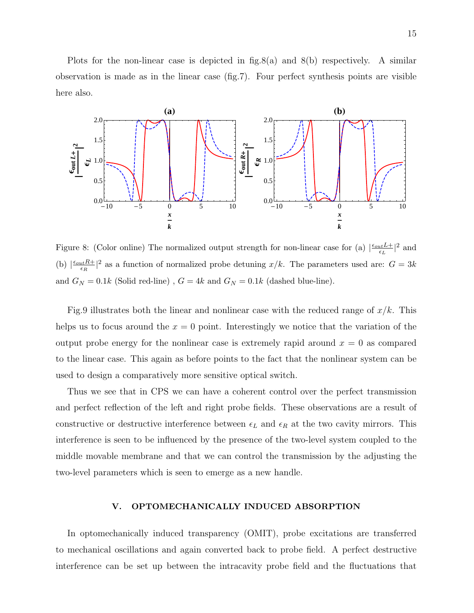Plots for the non-linear case is depicted in  $fig.8(a)$  and  $8(b)$  respectively. A similar observation is made as in the linear case (fig.7). Four perfect synthesis points are visible here also.



Figure 8: (Color online) The normalized output strength for non-linear case for (a)  $\frac{\epsilon_{out}L+1}{\epsilon_{tot}}$  $\frac{L}{\epsilon_L}$  and  $\frac{L}{\epsilon_L}$ (b)  $\left| \frac{\epsilon_{out}R+}{\epsilon_{B}}\right|$  $\frac{dL}{dR}$  as a function of normalized probe detuning  $x/k$ . The parameters used are:  $G = 3k$ and  $G_N = 0.1k$  (Solid red-line) ,  $G = 4k$  and  $G_N = 0.1k$  (dashed blue-line).

Fig.9 illustrates both the linear and nonlinear case with the reduced range of  $x/k$ . This helps us to focus around the  $x = 0$  point. Interestingly we notice that the variation of the output probe energy for the nonlinear case is extremely rapid around  $x = 0$  as compared to the linear case. This again as before points to the fact that the nonlinear system can be used to design a comparatively more sensitive optical switch.

Thus we see that in CPS we can have a coherent control over the perfect transmission and perfect reflection of the left and right probe fields. These observations are a result of constructive or destructive interference between  $\epsilon_L$  and  $\epsilon_R$  at the two cavity mirrors. This interference is seen to be influenced by the presence of the two-level system coupled to the middle movable membrane and that we can control the transmission by the adjusting the two-level parameters which is seen to emerge as a new handle.

# V. OPTOMECHANICALLY INDUCED ABSORPTION

In optomechanically induced transparency (OMIT), probe excitations are transferred to mechanical oscillations and again converted back to probe field. A perfect destructive interference can be set up between the intracavity probe field and the fluctuations that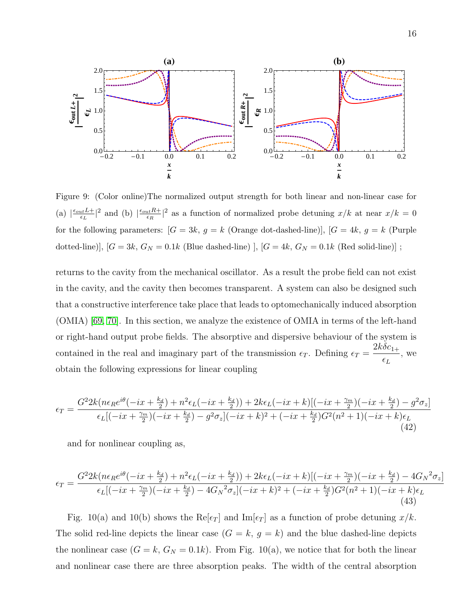

Figure 9: (Color online)The normalized output strength for both linear and non-linear case for (a)  $\left| \frac{\epsilon_{out} L +}{\epsilon_{\tau}} \right|$  $\frac{L_{tt}L+}{\epsilon_L}|^2$  and (b)  $\left|\frac{\epsilon_{out}R+}{\epsilon_R}\right|$  $\frac{dL}{\epsilon_R}$ <sup>2</sup> as a function of normalized probe detuning  $x/k$  at near  $x/k = 0$ for the following parameters:  $[G = 3k, g = k \text{ (Orange dot-dashed-line)}], [G = 4k, g = k \text{ (Purple)}]$ dotted-line)], [ $G = 3k$ ,  $G_N = 0.1k$  (Blue dashed-line)], [ $G = 4k$ ,  $G_N = 0.1k$  (Red solid-line)];

returns to the cavity from the mechanical oscillator. As a result the probe field can not exist in the cavity, and the cavity then becomes transparent. A system can also be designed such that a constructive interference take place that leads to optomechanically induced absorption (OMIA) [\[69,](#page-23-14) [70\]](#page-23-15). In this section, we analyze the existence of OMIA in terms of the left-hand or right-hand output probe fields. The absorptive and dispersive behaviour of the system is contained in the real and imaginary part of the transmission  $\epsilon_T$ . Defining  $\epsilon_T =$  $2k\delta c_{1+}$  $\epsilon_L$ , we obtain the following expressions for linear coupling

$$
\epsilon_T = \frac{G^2 2k(n\epsilon_R e^{i\theta}(-ix + \frac{k_d}{2}) + n^2 \epsilon_L (-ix + \frac{k_d}{2})) + 2k\epsilon_L (-ix + k)[(-ix + \frac{\gamma_m}{2})(-ix + \frac{k_d}{2}) - g^2 \sigma_z]}{\epsilon_L [(-ix + \frac{\gamma_m}{2})(-ix + \frac{k_d}{2}) - g^2 \sigma_z](-ix + k)^2 + (-ix + \frac{k_d}{2})G^2(n^2 + 1)(-ix + k)\epsilon_L}
$$
\n(42)

and for nonlinear coupling as,

$$
\epsilon_T = \frac{G^2 2k(n\epsilon_R e^{i\theta}(-ix + \frac{k_d}{2}) + n^2 \epsilon_L (-ix + \frac{k_d}{2})) + 2k\epsilon_L (-ix + k)[(-ix + \frac{\gamma_m}{2})(-ix + \frac{k_d}{2}) - 4G_N{}^2 \sigma_z]}{\epsilon_L [(-ix + \frac{\gamma_m}{2})(-ix + \frac{k_d}{2}) - 4G_N{}^2 \sigma_z](-ix + k)^2 + (-ix + \frac{k_d}{2})G^2(n^2 + 1)(-ix + k)\epsilon_L}
$$
\n(43)

Fig. 10(a) and 10(b) shows the Re[ $\epsilon_T$ ] and Im[ $\epsilon_T$ ] as a function of probe detuning  $x/k$ . The solid red-line depicts the linear case  $(G = k, g = k)$  and the blue dashed-line depicts the nonlinear case  $(G = k, G_N = 0.1k)$ . From Fig. 10(a), we notice that for both the linear and nonlinear case there are three absorption peaks. The width of the central absorption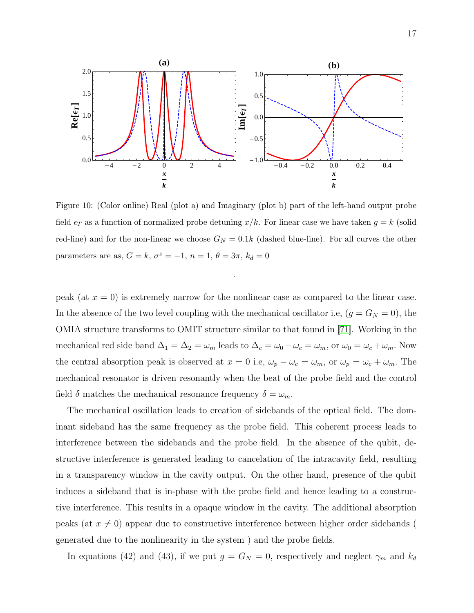

Figure 10: (Color online) Real (plot a) and Imaginary (plot b) part of the left-hand output probe field  $\epsilon_T$  as a function of normalized probe detuning  $x/k$ . For linear case we have taken  $g = k$  (solid red-line) and for the non-linear we choose  $G_N = 0.1k$  (dashed blue-line). For all curves the other parameters are as,  $G = k$ ,  $\sigma^z = -1$ ,  $n = 1$ ,  $\theta = 3\pi$ ,  $k_d = 0$ 

peak (at  $x = 0$ ) is extremely narrow for the nonlinear case as compared to the linear case. In the absence of the two level coupling with the mechanical oscillator i.e,  $(g = G_N = 0)$ , the OMIA structure transforms to OMIT structure similar to that found in [\[71\]](#page-23-16). Working in the mechanical red side band  $\Delta_1 = \Delta_2 = \omega_m$  leads to  $\Delta_c = \omega_0 - \omega_c = \omega_m$ , or  $\omega_0 = \omega_c + \omega_m$ . Now the central absorption peak is observed at  $x = 0$  i.e,  $\omega_p - \omega_c = \omega_m$ , or  $\omega_p = \omega_c + \omega_m$ . The mechanical resonator is driven resonantly when the beat of the probe field and the control field  $\delta$  matches the mechanical resonance frequency  $\delta = \omega_m$ .

The mechanical oscillation leads to creation of sidebands of the optical field. The dominant sideband has the same frequency as the probe field. This coherent process leads to interference between the sidebands and the probe field. In the absence of the qubit, destructive interference is generated leading to cancelation of the intracavity field, resulting in a transparency window in the cavity output. On the other hand, presence of the qubit induces a sideband that is in-phase with the probe field and hence leading to a constructive interference. This results in a opaque window in the cavity. The additional absorption peaks (at  $x \neq 0$ ) appear due to constructive interference between higher order sidebands ( generated due to the nonlinearity in the system ) and the probe fields.

In equations (42) and (43), if we put  $g = G_N = 0$ , respectively and neglect  $\gamma_m$  and  $k_d$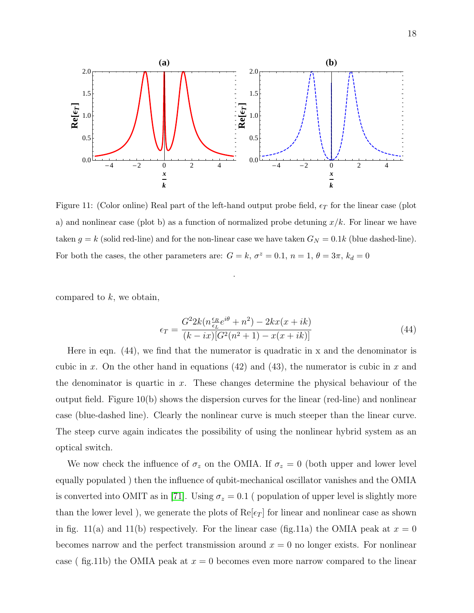

Figure 11: (Color online) Real part of the left-hand output probe field,  $\epsilon_T$  for the linear case (plot a) and nonlinear case (plot b) as a function of normalized probe detuning  $x/k$ . For linear we have taken  $g = k$  (solid red-line) and for the non-linear case we have taken  $G_N = 0.1k$  (blue dashed-line). For both the cases, the other parameters are:  $G = k$ ,  $\sigma^2 = 0.1$ ,  $n = 1$ ,  $\theta = 3\pi$ ,  $k_d = 0$ 

compared to  $k$ , we obtain,

$$
\epsilon_T = \frac{G^2 2k (n \frac{\epsilon_R}{\epsilon_L} e^{i\theta} + n^2) - 2kx (x + ik)}{(k - ix)[G^2(n^2 + 1) - x(x + ik)]}
$$
(44)

Here in eqn.  $(44)$ , we find that the numerator is quadratic in x and the denominator is cubic in x. On the other hand in equations (42) and (43), the numerator is cubic in x and the denominator is quartic in  $x$ . These changes determine the physical behaviour of the output field. Figure 10(b) shows the dispersion curves for the linear (red-line) and nonlinear case (blue-dashed line). Clearly the nonlinear curve is much steeper than the linear curve. The steep curve again indicates the possibility of using the nonlinear hybrid system as an optical switch.

We now check the influence of  $\sigma_z$  on the OMIA. If  $\sigma_z = 0$  (both upper and lower level equally populated ) then the influence of qubit-mechanical oscillator vanishes and the OMIA is converted into OMIT as in [\[71\]](#page-23-16). Using  $\sigma_z = 0.1$  (population of upper level is slightly more than the lower level), we generate the plots of  $\text{Re}[\epsilon_T]$  for linear and nonlinear case as shown in fig. 11(a) and 11(b) respectively. For the linear case (fig.11a) the OMIA peak at  $x = 0$ becomes narrow and the perfect transmission around  $x = 0$  no longer exists. For nonlinear case ( fig.11b) the OMIA peak at  $x = 0$  becomes even more narrow compared to the linear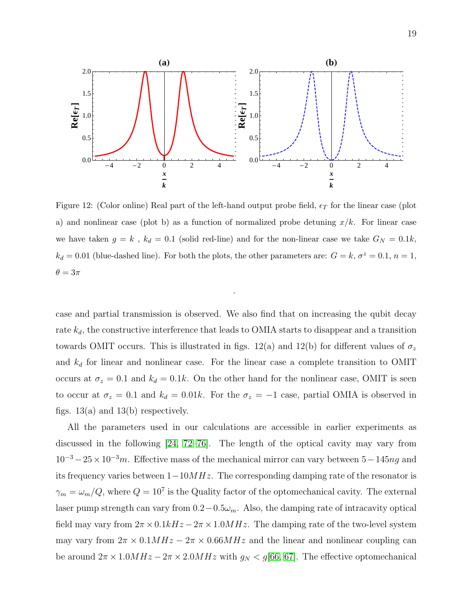

Figure 12: (Color online) Real part of the left-hand output probe field,  $\epsilon_T$  for the linear case (plot a) and nonlinear case (plot b) as a function of normalized probe detuning  $x/k$ . For linear case we have taken  $g = k$ ,  $k_d = 0.1$  (solid red-line) and for the non-linear case we take  $G_N = 0.1k$ ,  $k_d = 0.01$  (blue-dashed line). For both the plots, the other parameters are:  $G = k$ ,  $\sigma^2 = 0.1$ ,  $n = 1$ ,  $\theta = 3\pi$ 

case and partial transmission is observed. We also find that on increasing the qubit decay rate  $k_d$ , the constructive interference that leads to OMIA starts to disappear and a transition towards OMIT occurs. This is illustrated in figs. 12(a) and 12(b) for different values of  $\sigma_z$ and  $k_d$  for linear and nonlinear case. For the linear case a complete transition to OMIT occurs at  $\sigma_z = 0.1$  and  $k_d = 0.1k$ . On the other hand for the nonlinear case, OMIT is seen to occur at  $\sigma_z = 0.1$  and  $k_d = 0.01k$ . For the  $\sigma_z = -1$  case, partial OMIA is observed in figs.  $13(a)$  and  $13(b)$  respectively.

All the parameters used in our calculations are accessible in earlier experiments as discussed in the following [\[24,](#page-21-4) [72–](#page-23-17)[76\]](#page-24-0). The length of the optical cavity may vary from  $10^{-3} - 25 \times 10^{-3}$ m. Effective mass of the mechanical mirror can vary between  $5-145$ ng and its frequency varies between  $1-10MHz$ . The corresponding damping rate of the resonator is  $\gamma_m = \omega_m/Q$ , where  $Q = 10^7$  is the Quality factor of the optomechanical cavity. The external laser pump strength can vary from  $0.2-0.5\omega_m$ . Also, the damping rate of intracavity optical field may vary from  $2\pi \times 0.1kHz - 2\pi \times 1.0MHz$ . The damping rate of the two-level system may vary from  $2\pi \times 0.1 MHz - 2\pi \times 0.66 MHz$  and the linear and nonlinear coupling can be around  $2\pi \times 1.0MHz - 2\pi \times 2.0MHz$  with  $g_N < g$ [\[66,](#page-23-11) [67\]](#page-23-12). The effective optomechanical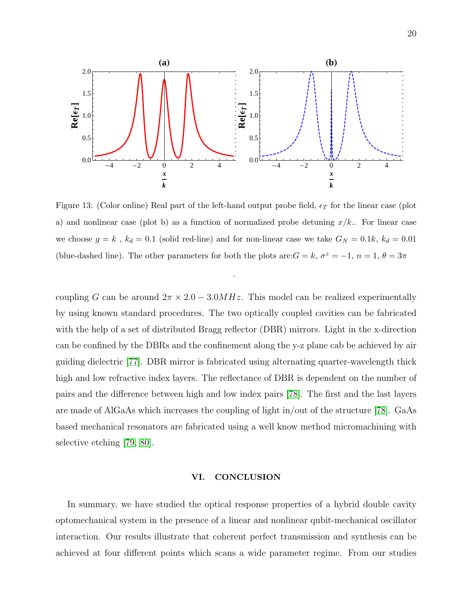

Figure 13: (Color online) Real part of the left-hand output probe field,  $\epsilon_T$  for the linear case (plot a) and nonlinear case (plot b) as a function of normalized probe detuning  $x/k$ .. For linear case we choose  $g = k$ ,  $k_d = 0.1$  (solid red-line) and for non-linear case we take  $G_N = 0.1k$ ,  $k_d = 0.01$ (blue-dashed line). The other parameters for both the plots are:  $G = k$ ,  $\sigma^2 = -1$ ,  $n = 1$ ,  $\theta = 3\pi$ 

coupling G can be around  $2\pi \times 2.0 - 3.0 MHz$ . This model can be realized experimentally by using known standard procedures. The two optically coupled cavities can be fabricated with the help of a set of distributed Bragg reflector (DBR) mirrors. Light in the x-direction can be confined by the DBRs and the confinement along the y-z plane cab be achieved by air guiding dielectric [\[77\]](#page-24-1). DBR mirror is fabricated using alternating quarter-wavelength thick high and low refractive index layers. The reflectance of DBR is dependent on the number of pairs and the difference between high and low index pairs [\[78\]](#page-24-2). The first and the last layers are made of AlGaAs which increases the coupling of light in/out of the structure [\[78\]](#page-24-2). GaAs based mechanical resonators are fabricated using a well know method micromachining with selective etching [\[79,](#page-24-3) [80\]](#page-24-4).

# VI. CONCLUSION

In summary, we have studied the optical response properties of a hybrid double cavity optomechanical system in the presence of a linear and nonlinear qubit-mechanical oscillator interaction. Our results illustrate that coherent perfect transmission and synthesis can be achieved at four different points which scans a wide parameter regime. From our studies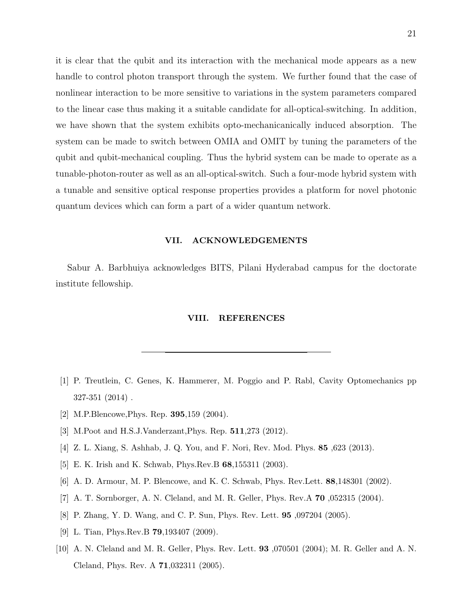it is clear that the qubit and its interaction with the mechanical mode appears as a new handle to control photon transport through the system. We further found that the case of nonlinear interaction to be more sensitive to variations in the system parameters compared to the linear case thus making it a suitable candidate for all-optical-switching. In addition, we have shown that the system exhibits opto-mechanicanically induced absorption. The system can be made to switch between OMIA and OMIT by tuning the parameters of the qubit and qubit-mechanical coupling. Thus the hybrid system can be made to operate as a tunable-photon-router as well as an all-optical-switch. Such a four-mode hybrid system with a tunable and sensitive optical response properties provides a platform for novel photonic quantum devices which can form a part of a wider quantum network.

#### VII. ACKNOWLEDGEMENTS

Sabur A. Barbhuiya acknowledges BITS, Pilani Hyderabad campus for the doctorate institute fellowship.

#### VIII. REFERENCES

- <span id="page-20-0"></span>[1] P. Treutlein, C. Genes, K. Hammerer, M. Poggio and P. Rabl, Cavity Optomechanics pp 327-351 (2014) .
- <span id="page-20-2"></span><span id="page-20-1"></span>[2] M.P.Blencowe,Phys. Rep. 395,159 (2004).
- <span id="page-20-3"></span>[3] M.Poot and H.S.J.Vanderzant,Phys. Rep. 511,273 (2012).
- [4] Z. L. Xiang, S. Ashhab, J. Q. You, and F. Nori, Rev. Mod. Phys. 85 ,623 (2013).
- [5] E. K. Irish and K. Schwab, Phys.Rev.B 68,155311 (2003).
- [6] A. D. Armour, M. P. Blencowe, and K. C. Schwab, Phys. Rev.Lett. 88,148301 (2002).
- [7] A. T. Sornborger, A. N. Cleland, and M. R. Geller, Phys. Rev.A 70 ,052315 (2004).
- [8] P. Zhang, Y. D. Wang, and C. P. Sun, Phys. Rev. Lett. 95 ,097204 (2005).
- [9] L. Tian, Phys.Rev.B **79**, 193407 (2009).
- [10] A. N. Cleland and M. R. Geller, Phys. Rev. Lett. 93 ,070501 (2004); M. R. Geller and A. N. Cleland, Phys. Rev. A 71,032311 (2005).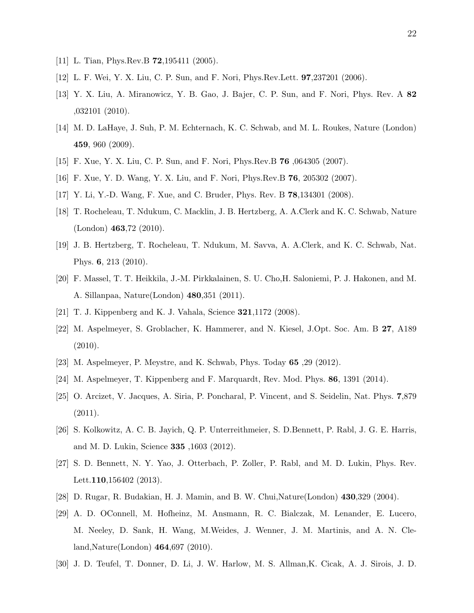- [11] L. Tian, Phys.Rev.B **72**, 195411 (2005).
- [12] L. F. Wei, Y. X. Liu, C. P. Sun, and F. Nori, Phys.Rev.Lett. 97,237201 (2006).
- [13] Y. X. Liu, A. Miranowicz, Y. B. Gao, J. Bajer, C. P. Sun, and F. Nori, Phys. Rev. A 82 ,032101 (2010).
- [14] M. D. LaHaye, J. Suh, P. M. Echternach, K. C. Schwab, and M. L. Roukes, Nature (London) 459, 960 (2009).
- <span id="page-21-1"></span><span id="page-21-0"></span>[15] F. Xue, Y. X. Liu, C. P. Sun, and F. Nori, Phys.Rev.B 76 ,064305 (2007).
- [16] F. Xue, Y. D. Wang, Y. X. Liu, and F. Nori, Phys.Rev.B 76, 205302 (2007).
- [17] Y. Li, Y.-D. Wang, F. Xue, and C. Bruder, Phys. Rev. B 78,134301 (2008).
- [18] T. Rocheleau, T. Ndukum, C. Macklin, J. B. Hertzberg, A. A.Clerk and K. C. Schwab, Nature (London) 463,72 (2010).
- [19] J. B. Hertzberg, T. Rocheleau, T. Ndukum, M. Savva, A. A.Clerk, and K. C. Schwab, Nat. Phys. 6, 213 (2010).
- <span id="page-21-2"></span>[20] F. Massel, T. T. Heikkila, J.-M. Pirkkalainen, S. U. Cho,H. Saloniemi, P. J. Hakonen, and M. A. Sillanpaa, Nature(London) 480,351 (2011).
- <span id="page-21-3"></span>[21] T. J. Kippenberg and K. J. Vahala, Science 321,1172 (2008).
- [22] M. Aspelmeyer, S. Groblacher, K. Hammerer, and N. Kiesel, J.Opt. Soc. Am. B 27, A189 (2010).
- <span id="page-21-4"></span>[23] M. Aspelmeyer, P. Meystre, and K. Schwab, Phys. Today 65 ,29 (2012).
- <span id="page-21-5"></span>[24] M. Aspelmeyer, T. Kippenberg and F. Marquardt, Rev. Mod. Phys. 86, 1391 (2014).
- [25] O. Arcizet, V. Jacques, A. Siria, P. Poncharal, P. Vincent, and S. Seidelin, Nat. Phys. 7,879 (2011).
- [26] S. Kolkowitz, A. C. B. Jayich, Q. P. Unterreithmeier, S. D.Bennett, P. Rabl, J. G. E. Harris, and M. D. Lukin, Science 335 ,1603 (2012).
- <span id="page-21-6"></span>[27] S. D. Bennett, N. Y. Yao, J. Otterbach, P. Zoller, P. Rabl, and M. D. Lukin, Phys. Rev. Lett.110,156402 (2013).
- <span id="page-21-8"></span><span id="page-21-7"></span>[28] D. Rugar, R. Budakian, H. J. Mamin, and B. W. Chui,Nature(London) 430,329 (2004).
- [29] A. D. OConnell, M. Hofheinz, M. Ansmann, R. C. Bialczak, M. Lenander, E. Lucero, M. Neeley, D. Sank, H. Wang, M.Weides, J. Wenner, J. M. Martinis, and A. N. Cleland,Nature(London) 464,697 (2010).
- <span id="page-21-9"></span>[30] J. D. Teufel, T. Donner, D. Li, J. W. Harlow, M. S. Allman,K. Cicak, A. J. Sirois, J. D.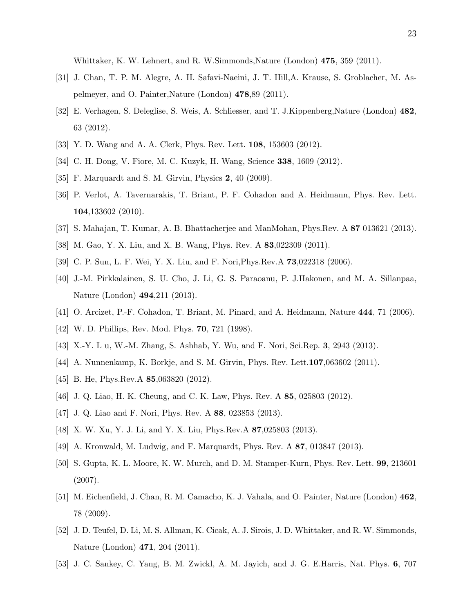Whittaker, K. W. Lehnert, and R. W.Simmonds,Nature (London) 475, 359 (2011).

- <span id="page-22-7"></span>[31] J. Chan, T. P. M. Alegre, A. H. Safavi-Naeini, J. T. Hill,A. Krause, S. Groblacher, M. Aspelmeyer, and O. Painter,Nature (London) 478,89 (2011).
- [32] E. Verhagen, S. Deleglise, S. Weis, A. Schliesser, and T. J.Kippenberg,Nature (London) 482, 63 (2012).
- <span id="page-22-0"></span>[33] Y. D. Wang and A. A. Clerk, Phys. Rev. Lett. 108, 153603 (2012).
- <span id="page-22-1"></span>[34] C. H. Dong, V. Fiore, M. C. Kuzyk, H. Wang, Science 338, 1609 (2012).
- [35] F. Marquardt and S. M. Girvin, Physics 2, 40 (2009).
- [36] P. Verlot, A. Tavernarakis, T. Briant, P. F. Cohadon and A. Heidmann, Phys. Rev. Lett. 104,133602 (2010).
- <span id="page-22-3"></span><span id="page-22-2"></span>[37] S. Mahajan, T. Kumar, A. B. Bhattacherjee and ManMohan, Phys.Rev. A 87 013621 (2013).
- <span id="page-22-4"></span>[38] M. Gao, Y. X. Liu, and X. B. Wang, Phys. Rev. A 83,022309 (2011).
- <span id="page-22-5"></span>[39] C. P. Sun, L. F. Wei, Y. X. Liu, and F. Nori,Phys.Rev.A 73,022318 (2006).
- [40] J.-M. Pirkkalainen, S. U. Cho, J. Li, G. S. Paraoanu, P. J.Hakonen, and M. A. Sillanpaa, Nature (London) 494,211 (2013).
- <span id="page-22-8"></span><span id="page-22-6"></span>[41] O. Arcizet, P.-F. Cohadon, T. Briant, M. Pinard, and A. Heidmann, Nature 444, 71 (2006).
- <span id="page-22-9"></span>[42] W. D. Phillips, Rev. Mod. Phys. **70**, 721 (1998).
- <span id="page-22-10"></span>[43] X.-Y. L u, W.-M. Zhang, S. Ashhab, Y. Wu, and F. Nori, Sci.Rep. 3, 2943 (2013).
- [44] A. Nunnenkamp, K. Borkje, and S. M. Girvin, Phys. Rev. Lett.107,063602 (2011).
- [45] B. He, Phys.Rev.A **85**,063820 (2012).
- [46] J. Q. Liao, H. K. Cheung, and C. K. Law, Phys. Rev. A 85, 025803 (2012).
- [47] J. Q. Liao and F. Nori, Phys. Rev. A 88, 023853 (2013).
- <span id="page-22-11"></span>[48] X. W. Xu, Y. J. Li, and Y. X. Liu, Phys.Rev.A 87,025803 (2013).
- <span id="page-22-12"></span>[49] A. Kronwald, M. Ludwig, and F. Marquardt, Phys. Rev. A 87, 013847 (2013).
- [50] S. Gupta, K. L. Moore, K. W. Murch, and D. M. Stamper-Kurn, Phys. Rev. Lett. 99, 213601 (2007).
- [51] M. Eichenfield, J. Chan, R. M. Camacho, K. J. Vahala, and O. Painter, Nature (London) 462, 78 (2009).
- [52] J. D. Teufel, D. Li, M. S. Allman, K. Cicak, A. J. Sirois, J. D. Whittaker, and R. W. Simmonds, Nature (London) 471, 204 (2011).
- <span id="page-22-13"></span>[53] J. C. Sankey, C. Yang, B. M. Zwickl, A. M. Jayich, and J. G. E.Harris, Nat. Phys. 6, 707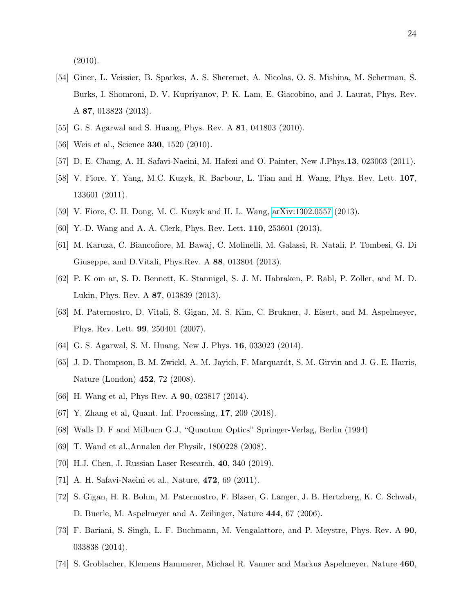$(2010).$ 

- <span id="page-23-0"></span>[54] Giner, L. Veissier, B. Sparkes, A. S. Sheremet, A. Nicolas, O. S. Mishina, M. Scherman, S. Burks, I. Shomroni, D. V. Kupriyanov, P. K. Lam, E. Giacobino, and J. Laurat, Phys. Rev. A 87, 013823 (2013).
- <span id="page-23-1"></span>[55] G. S. Agarwal and S. Huang, Phys. Rev. A **81**, 041803 (2010).
- <span id="page-23-2"></span>[56] Weis et al., Science **330**, 1520 (2010).
- <span id="page-23-4"></span>[57] D. E. Chang, A. H. Safavi-Naeini, M. Hafezi and O. Painter, New J.Phys.13, 023003 (2011).
- [58] V. Fiore, Y. Yang, M.C. Kuzyk, R. Barbour, L. Tian and H. Wang, Phys. Rev. Lett. 107, 133601 (2011).
- <span id="page-23-5"></span><span id="page-23-3"></span>[59] V. Fiore, C. H. Dong, M. C. Kuzyk and H. L. Wang, [arXiv:1302.0557](http://arxiv.org/abs/1302.0557) (2013).
- <span id="page-23-6"></span>[60] Y.-D. Wang and A. A. Clerk, Phys. Rev. Lett. 110, 253601 (2013).
- [61] M. Karuza, C. Biancofiore, M. Bawaj, C. Molinelli, M. Galassi, R. Natali, P. Tombesi, G. Di Giuseppe, and D.Vitali, Phys.Rev. A 88, 013804 (2013).
- <span id="page-23-7"></span>[62] P. K om ar, S. D. Bennett, K. Stannigel, S. J. M. Habraken, P. Rabl, P. Zoller, and M. D. Lukin, Phys. Rev. A 87, 013839 (2013).
- <span id="page-23-8"></span>[63] M. Paternostro, D. Vitali, S. Gigan, M. S. Kim, C. Brukner, J. Eisert, and M. Aspelmeyer, Phys. Rev. Lett. 99, 250401 (2007).
- <span id="page-23-10"></span><span id="page-23-9"></span>[64] G. S. Agarwal, S. M. Huang, New J. Phys. 16, 033023 (2014).
- [65] J. D. Thompson, B. M. Zwickl, A. M. Jayich, F. Marquardt, S. M. Girvin and J. G. E. Harris, Nature (London) 452, 72 (2008).
- <span id="page-23-12"></span><span id="page-23-11"></span>[66] H. Wang et al, Phys Rev. A 90, 023817 (2014).
- <span id="page-23-13"></span>[67] Y. Zhang et al, Quant. Inf. Processing, 17, 209 (2018).
- <span id="page-23-14"></span>[68] Walls D. F and Milburn G.J, "Quantum Optics" Springer-Verlag, Berlin (1994)
- <span id="page-23-15"></span>[69] T. Wand et al.,Annalen der Physik, 1800228 (2008).
- <span id="page-23-16"></span>[70] H.J. Chen, J. Russian Laser Research, 40, 340 (2019).
- <span id="page-23-17"></span>[71] A. H. Safavi-Naeini et al., Nature, 472, 69 (2011).
- [72] S. Gigan, H. R. Bohm, M. Paternostro, F. Blaser, G. Langer, J. B. Hertzberg, K. C. Schwab, D. Buerle, M. Aspelmeyer and A. Zeilinger, Nature 444, 67 (2006).
- [73] F. Bariani, S. Singh, L. F. Buchmann, M. Vengalattore, and P. Meystre, Phys. Rev. A 90, 033838 (2014).
- [74] S. Groblacher, Klemens Hammerer, Michael R. Vanner and Markus Aspelmeyer, Nature 460,